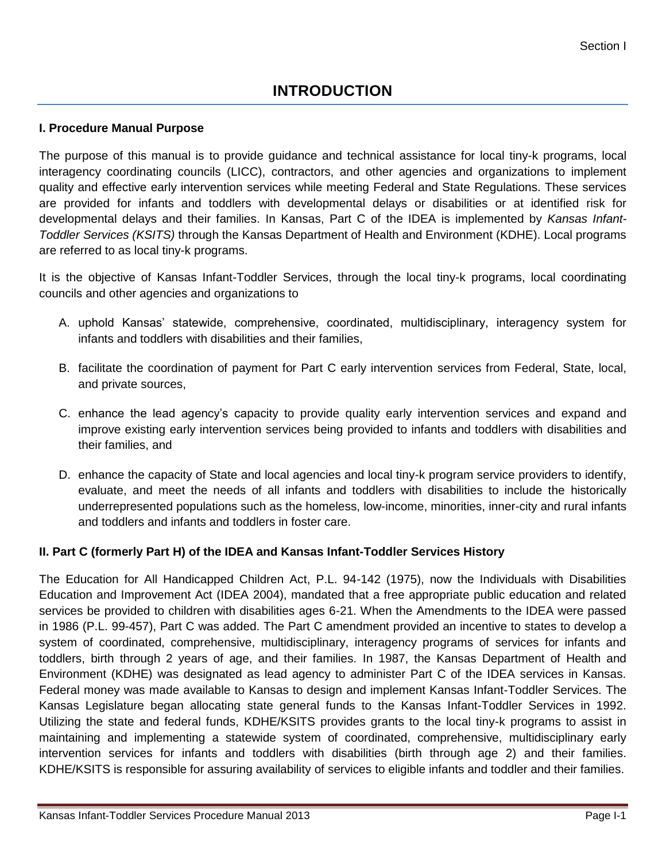### **I. Procedure Manual Purpose**

The purpose of this manual is to provide guidance and technical assistance for local tiny-k programs, local interagency coordinating councils (LICC), contractors, and other agencies and organizations to implement quality and effective early intervention services while meeting Federal and State Regulations. These services are provided for infants and toddlers with developmental delays or disabilities or at identified risk for developmental delays and their families. In Kansas, Part C of the IDEA is implemented by *Kansas Infant-Toddler Services (KSITS)* through the Kansas Department of Health and Environment (KDHE). Local programs are referred to as local tiny-k programs.

It is the objective of Kansas Infant-Toddler Services, through the local tiny-k programs, local coordinating councils and other agencies and organizations to

- A. uphold Kansas' statewide, comprehensive, coordinated, multidisciplinary, interagency system for infants and toddlers with disabilities and their families,
- B. facilitate the coordination of payment for Part C early intervention services from Federal, State, local, and private sources,
- C. enhance the lead agency's capacity to provide quality early intervention services and expand and improve existing early intervention services being provided to infants and toddlers with disabilities and their families, and
- D. enhance the capacity of State and local agencies and local tiny-k program service providers to identify, evaluate, and meet the needs of all infants and toddlers with disabilities to include the historically underrepresented populations such as the homeless, low-income, minorities, inner-city and rural infants and toddlers and infants and toddlers in foster care.

## **II. Part C (formerly Part H) of the IDEA and Kansas Infant-Toddler Services History**

The Education for All Handicapped Children Act, P.L. 94-142 (1975), now the Individuals with Disabilities Education and Improvement Act (IDEA 2004), mandated that a free appropriate public education and related services be provided to children with disabilities ages 6-21. When the Amendments to the IDEA were passed in 1986 (P.L. 99-457), Part C was added. The Part C amendment provided an incentive to states to develop a system of coordinated, comprehensive, multidisciplinary, interagency programs of services for infants and toddlers, birth through 2 years of age, and their families. In 1987, the Kansas Department of Health and Environment (KDHE) was designated as lead agency to administer Part C of the IDEA services in Kansas. Federal money was made available to Kansas to design and implement Kansas Infant-Toddler Services. The Kansas Legislature began allocating state general funds to the Kansas Infant-Toddler Services in 1992. Utilizing the state and federal funds, KDHE/KSITS provides grants to the local tiny-k programs to assist in maintaining and implementing a statewide system of coordinated, comprehensive, multidisciplinary early intervention services for infants and toddlers with disabilities (birth through age 2) and their families. KDHE/KSITS is responsible for assuring availability of services to eligible infants and toddler and their families.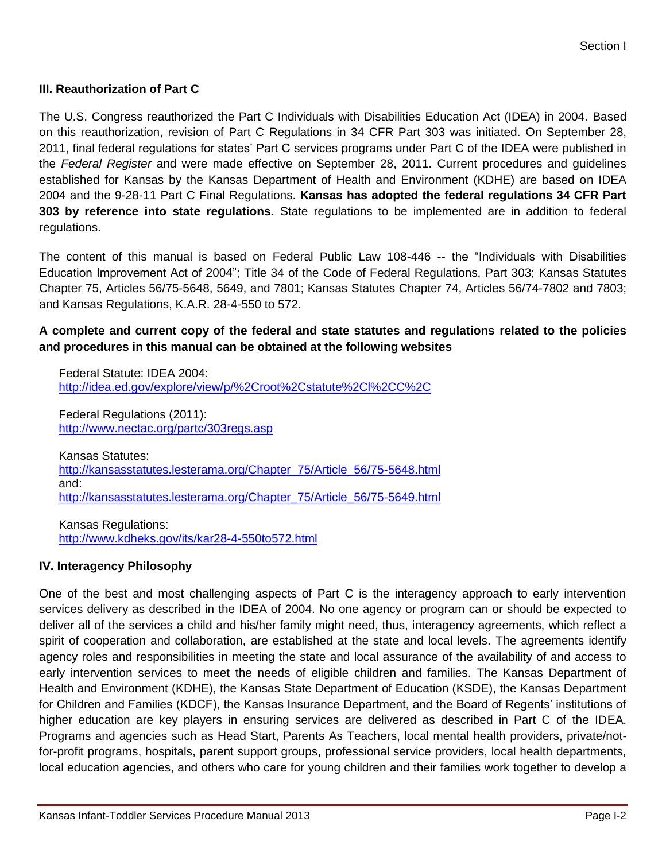#### **III. Reauthorization of Part C**

The U.S. Congress reauthorized the Part C Individuals with Disabilities Education Act (IDEA) in 2004. Based on this reauthorization, revision of Part C Regulations in 34 CFR Part 303 was initiated. On September 28, 2011, final federal regulations for states' Part C services programs under Part C of the IDEA were published in the *Federal Register* and were made effective on September 28, 2011. Current procedures and guidelines established for Kansas by the Kansas Department of Health and Environment (KDHE) are based on IDEA 2004 and the 9-28-11 Part C Final Regulations. **Kansas has adopted the federal regulations 34 CFR Part 303 by reference into state regulations.** State regulations to be implemented are in addition to federal regulations.

The content of this manual is based on Federal Public Law 108-446 -- the "Individuals with Disabilities Education Improvement Act of 2004"; Title 34 of the Code of Federal Regulations, Part 303; Kansas Statutes Chapter 75, Articles 56/75-5648, 5649, and 7801; Kansas Statutes Chapter 74, Articles 56/74-7802 and 7803; and Kansas Regulations, K.A.R. 28-4-550 to 572.

## **A complete and current copy of the federal and state statutes and regulations related to the policies and procedures in this manual can be obtained at the following websites**

Federal Statute: IDEA 2004: <http://idea.ed.gov/explore/view/p/%2Croot%2Cstatute%2Cl%2CC%2C>

Federal Regulations (2011): <http://www.nectac.org/partc/303regs.asp>

Kansas Statutes: [http://kansasstatutes.lesterama.org/Chapter\\_75/Article\\_56/75-5648.html](http://kansasstatutes.lesterama.org/Chapter_75/Article_56/75-5648.html) and: [http://kansasstatutes.lesterama.org/Chapter\\_75/Article\\_56/75-5649.html](http://kansasstatutes.lesterama.org/Chapter_75/Article_56/75-5649.html)

Kansas Regulations: <http://www.kdheks.gov/its/kar28-4-550to572.html>

#### **IV. Interagency Philosophy**

One of the best and most challenging aspects of Part C is the interagency approach to early intervention services delivery as described in the IDEA of 2004. No one agency or program can or should be expected to deliver all of the services a child and his/her family might need, thus, interagency agreements, which reflect a spirit of cooperation and collaboration, are established at the state and local levels. The agreements identify agency roles and responsibilities in meeting the state and local assurance of the availability of and access to early intervention services to meet the needs of eligible children and families. The Kansas Department of Health and Environment (KDHE), the Kansas State Department of Education (KSDE), the Kansas Department for Children and Families (KDCF), the Kansas Insurance Department, and the Board of Regents' institutions of higher education are key players in ensuring services are delivered as described in Part C of the IDEA. Programs and agencies such as Head Start, Parents As Teachers, local mental health providers, private/notfor-profit programs, hospitals, parent support groups, professional service providers, local health departments, local education agencies, and others who care for young children and their families work together to develop a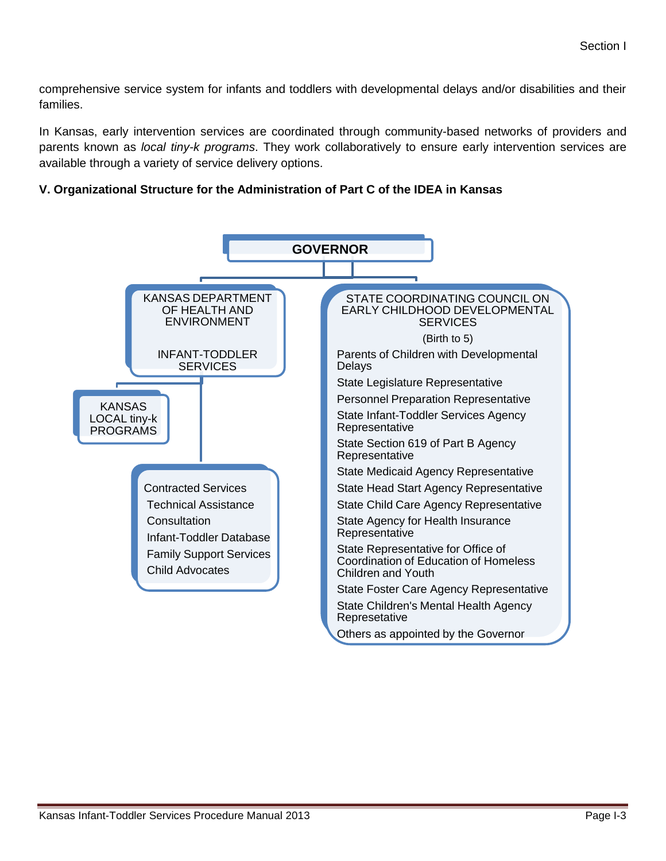comprehensive service system for infants and toddlers with developmental delays and/or disabilities and their families.

In Kansas, early intervention services are coordinated through community-based networks of providers and parents known as *local tiny-k programs*. They work collaboratively to ensure early intervention services are available through a variety of service delivery options.

### **V. Organizational Structure for the Administration of Part C of the IDEA in Kansas**

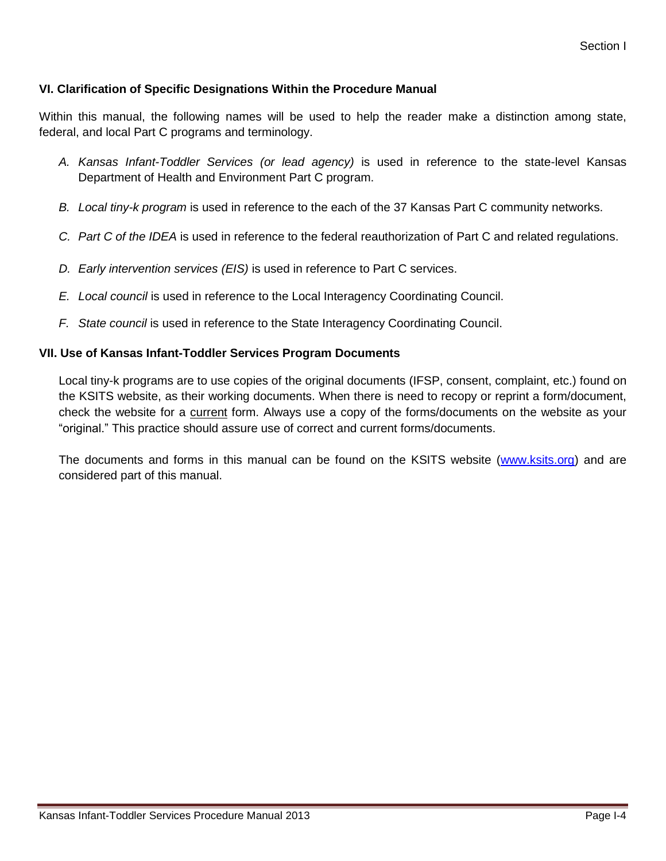## **VI. Clarification of Specific Designations Within the Procedure Manual**

Within this manual, the following names will be used to help the reader make a distinction among state, federal, and local Part C programs and terminology.

- *A. Kansas Infant-Toddler Services (or lead agency)* is used in reference to the state-level Kansas Department of Health and Environment Part C program.
- *B. Local tiny-k program* is used in reference to the each of the 37 Kansas Part C community networks.
- *C. Part C of the IDEA* is used in reference to the federal reauthorization of Part C and related regulations.
- *D. Early intervention services (EIS)* is used in reference to Part C services.
- *E. Local council* is used in reference to the Local Interagency Coordinating Council.
- *F. State council* is used in reference to the State Interagency Coordinating Council.

#### **VII. Use of Kansas Infant-Toddler Services Program Documents**

Local tiny-k programs are to use copies of the original documents (IFSP, consent, complaint, etc.) found on the KSITS website, as their working documents. When there is need to recopy or reprint a form/document, check the website for a current form. Always use a copy of the forms/documents on the website as your "original." This practice should assure use of correct and current forms/documents.

The documents and forms in this manual can be found on the KSITS website [\(www.ksits.org\)](http://www.ksits.org/) and are considered part of this manual.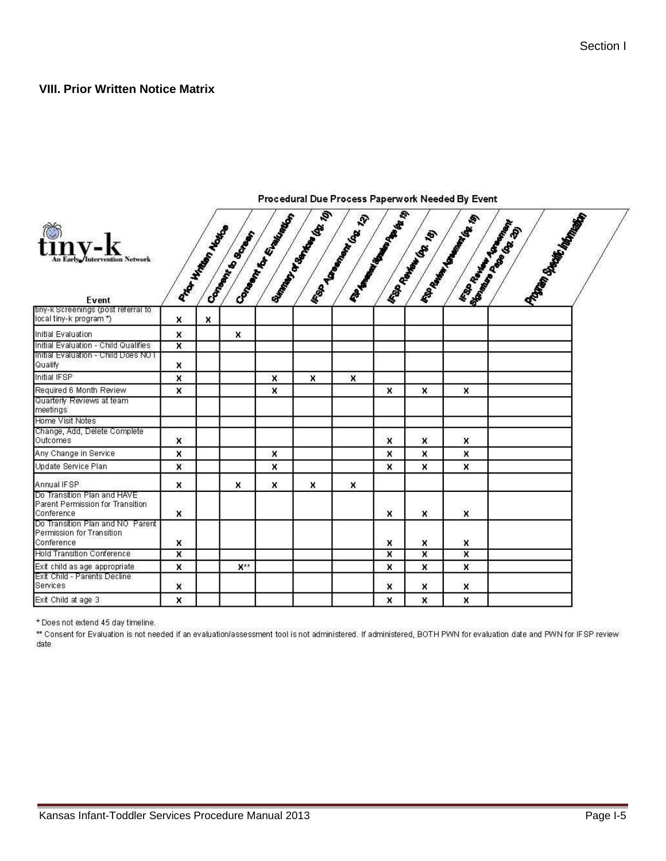#### **VIII. Prior Written Notice Matrix**

|                                                                               | ø,                      |                     |                    |                                 |                                                   |                               |                         |                         |                                                           |                                                         |  |
|-------------------------------------------------------------------------------|-------------------------|---------------------|--------------------|---------------------------------|---------------------------------------------------|-------------------------------|-------------------------|-------------------------|-----------------------------------------------------------|---------------------------------------------------------|--|
| $\binom{m}{r}$<br><b>Early /Intervention Network</b><br>Event                 |                         | A HATHAWAY ASSESSED | Company River Book | Company of the Real Property of | <b>Listen Manufacture Replacement Replacement</b> | <b>IRON DOMINARY (SEE 12)</b> | <b>Canadian Repair</b>  | <b>IRON BOOM ROOM</b>   | <b>FRANCISCO MILLION ROOMS</b><br><b>PASSERS ASSESSED</b> | PORTUGAL MANAGER PASSAGE<br><b>Branch of Branch Cap</b> |  |
| tiny-k Screenings (post referral to<br>(focal tiny-k program *)               | x                       | X.                  |                    |                                 |                                                   |                               |                         |                         |                                                           |                                                         |  |
| Initial Evaluation                                                            | x                       |                     | ×                  |                                 |                                                   |                               |                         |                         |                                                           |                                                         |  |
| Initial Evaluation - Child Qualifies                                          | $\overline{\mathbf{x}}$ |                     |                    |                                 |                                                   |                               |                         |                         |                                                           |                                                         |  |
| Initial Evaluation - Child Does NOT<br>Qualify                                | x                       |                     |                    |                                 |                                                   |                               |                         |                         |                                                           |                                                         |  |
| Initial IFSP                                                                  | ×                       |                     |                    | X                               | ×                                                 | X                             |                         |                         |                                                           |                                                         |  |
| Required 6 Month Review                                                       | x                       |                     |                    | x                               |                                                   |                               | X                       | $\mathbf{x}$            | ×                                                         |                                                         |  |
| Quarterly Reviews at team<br>meetings                                         |                         |                     |                    |                                 |                                                   |                               |                         |                         |                                                           |                                                         |  |
| Home Visit Notes                                                              |                         |                     |                    |                                 |                                                   |                               |                         |                         |                                                           |                                                         |  |
| Change, Add, Delete Complete<br>Outcomes                                      | ×                       |                     |                    |                                 |                                                   |                               | x                       | x                       | X                                                         |                                                         |  |
| Any Change in Service                                                         | x                       |                     |                    | x                               |                                                   |                               | x                       | x                       | x                                                         |                                                         |  |
| Update Service Plan                                                           | x                       |                     |                    | X                               |                                                   |                               | x                       | x                       | x                                                         |                                                         |  |
| Annual IFSP                                                                   | x                       |                     | ×                  | ×                               | x                                                 | ×                             |                         |                         |                                                           |                                                         |  |
| Do Transition Plan and HAVE<br>Parent Permission for Transition<br>Conference | ×                       |                     |                    |                                 |                                                   |                               | $\mathbf{x}$            | x                       | x                                                         |                                                         |  |
| Do Transition Plan and NO Parent<br>Permission for Transition<br>Conference   | X                       |                     |                    |                                 |                                                   |                               | x                       | X                       | X                                                         |                                                         |  |
| <b>Hold Transition Conference</b>                                             | $\overline{\mathsf{x}}$ |                     |                    |                                 |                                                   |                               | $\overline{\mathbf{x}}$ | $\overline{\mathbf{x}}$ | $\overline{\mathbf{x}}$                                   |                                                         |  |
| Exit child as age appropriate                                                 | x                       |                     | $X**$              |                                 |                                                   |                               | X                       | x                       | x                                                         |                                                         |  |
| Exit Child - Parents Decline<br>Services                                      | ×                       |                     |                    |                                 |                                                   |                               | $\boldsymbol{x}$        | X                       | x                                                         |                                                         |  |
| Exit Child at age 3                                                           | x                       |                     |                    |                                 |                                                   |                               | x                       | X                       | X                                                         |                                                         |  |

Procedural Due Process Paperwork Needed By Event

\* Does not extend 45 day timeline.

\*\* Consent for Evaluation is not needed if an evaluation/assessment tool is not administered. If administered, BOTH PWN for evaluation date and PWN for IFSP review date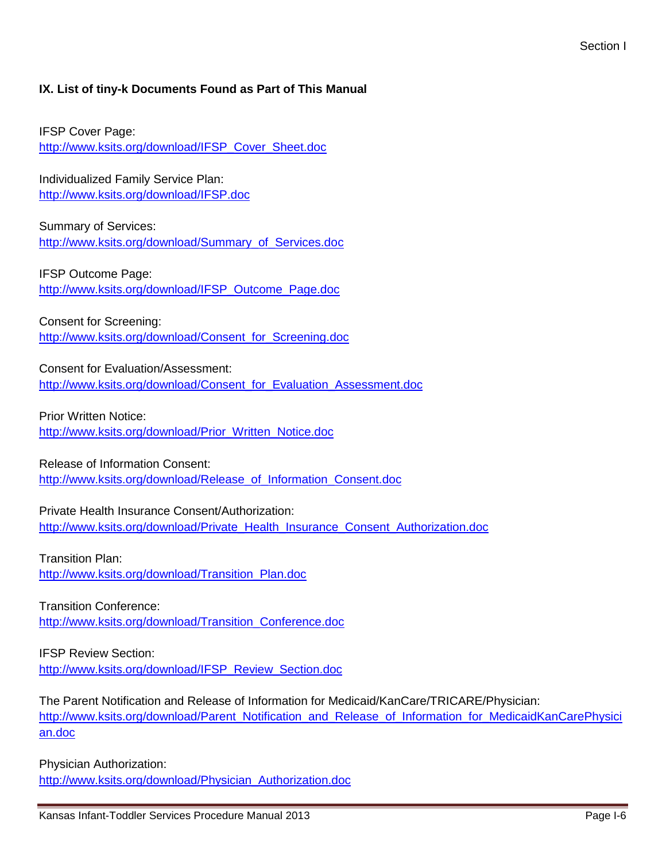# **IX. List of tiny-k Documents Found as Part of This Manual**

IFSP Cover Page: [http://www.ksits.org/download/IFSP\\_Cover\\_Sheet.doc](http://www.ksits.org/download/IFSP_Cover_Sheet.doc)

Individualized Family Service Plan: <http://www.ksits.org/download/IFSP.doc>

Summary of Services: [http://www.ksits.org/download/Summary\\_of\\_Services.doc](http://www.ksits.org/download/Summary_of_Services.doc)

IFSP Outcome Page: [http://www.ksits.org/download/IFSP\\_Outcome\\_Page.doc](http://www.ksits.org/download/IFSP_Outcome_Page.doc)

Consent for Screening: [http://www.ksits.org/download/Consent\\_for\\_Screening.doc](http://www.ksits.org/download/Consent_for_Screening.doc)

Consent for Evaluation/Assessment: [http://www.ksits.org/download/Consent\\_for\\_Evaluation\\_Assessment.doc](http://www.ksits.org/download/Consent_for_Evaluation_Assessment.doc)

Prior Written Notice: [http://www.ksits.org/download/Prior\\_Written\\_Notice.doc](http://www.ksits.org/download/Prior_Written_Notice.doc)

Release of Information Consent: [http://www.ksits.org/download/Release\\_of\\_Information\\_Consent.doc](http://www.ksits.org/download/Release_of_Information_Consent.doc)

Private Health Insurance Consent/Authorization: http://www.ksits.org/download/Private Health Insurance Consent Authorization.doc

Transition Plan: [http://www.ksits.org/download/Transition\\_Plan.doc](http://www.ksits.org/download/Transition_Plan.doc)

Transition Conference: [http://www.ksits.org/download/Transition\\_Conference.doc](http://www.ksits.org/download/Transition_Conference.doc)

IFSP Review Section: [http://www.ksits.org/download/IFSP\\_Review\\_Section.doc](http://www.ksits.org/download/IFSP_Review_Section.doc)

The Parent Notification and Release of Information for Medicaid/KanCare/TRICARE/Physician: [http://www.ksits.org/download/Parent\\_Notification\\_and\\_Release\\_of\\_Information\\_for\\_MedicaidKanCarePhysici](http://www.ksits.org/download/Parent_Notification_and_Release_of_Information_for_MedicaidKanCarePhysician.doc) [an.doc](http://www.ksits.org/download/Parent_Notification_and_Release_of_Information_for_MedicaidKanCarePhysician.doc)

Physician Authorization:

[http://www.ksits.org/download/Physician\\_Authorization.doc](http://www.ksits.org/download/Physician_Authorization.doc)